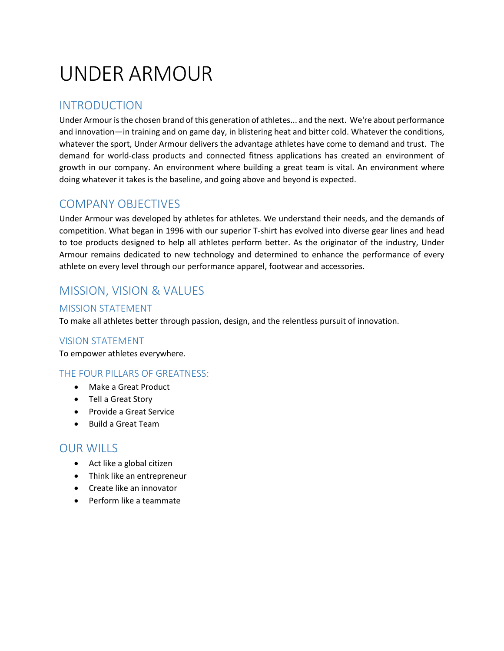# UNDER ARMOUR

### INTRODUCTION

Under Armour is the chosen brand of this generation of athletes... and the next. We're about performance and innovation—in training and on game day, in blistering heat and bitter cold. Whatever the conditions, whatever the sport, Under Armour delivers the advantage athletes have come to demand and trust. The demand for world-class products and connected fitness applications has created an environment of growth in our company. An environment where building a great team is vital. An environment where doing whatever it takes is the baseline, and going above and beyond is expected.

### COMPANY OBJECTIVES

Under Armour was developed by athletes for athletes. We understand their needs, and the demands of competition. What began in 1996 with our superior T-shirt has evolved into diverse gear lines and head to toe products designed to help all athletes perform better. As the originator of the industry, Under Armour remains dedicated to new technology and determined to enhance the performance of every athlete on every level through our performance apparel, footwear and accessories.

## MISSION, VISION & VALUES

#### MISSION STATEMENT

To make all athletes better through passion, design, and the relentless pursuit of innovation.

#### VISION STATEMENT

To empower athletes everywhere.

#### THE FOUR PILLARS OF GREATNESS:

- Make a Great Product
- Tell a Great Story
- Provide a Great Service
- Build a Great Team

#### OUR WILLS

- Act like a global citizen
- Think like an entrepreneur
- Create like an innovator
- Perform like a teammate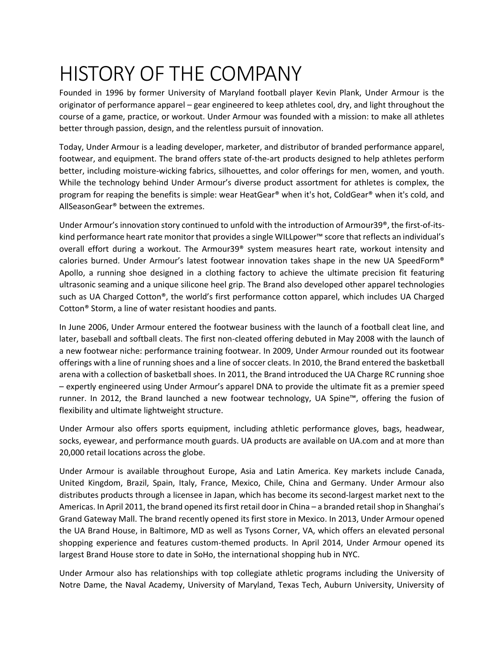# HISTORY OF THE COMPANY

Founded in 1996 by former University of Maryland football player Kevin Plank, Under Armour is the originator of performance apparel – gear engineered to keep athletes cool, dry, and light throughout the course of a game, practice, or workout. Under Armour was founded with a mission: to make all athletes better through passion, design, and the relentless pursuit of innovation.

Today, Under Armour is a leading developer, marketer, and distributor of branded performance apparel, footwear, and equipment. The brand offers state of-the-art products designed to help athletes perform better, including moisture-wicking fabrics, silhouettes, and color offerings for men, women, and youth. While the technology behind Under Armour's diverse product assortment for athletes is complex, the program for reaping the benefits is simple: wear HeatGear® when it's hot, ColdGear® when it's cold, and AllSeasonGear® between the extremes.

Under Armour's innovation story continued to unfold with the introduction of Armour39®, the first-of-itskind performance heart rate monitor that provides a single WILLpower™ score that reflects an individual's overall effort during a workout. The Armour39® system measures heart rate, workout intensity and calories burned. Under Armour's latest footwear innovation takes shape in the new UA SpeedForm® Apollo, a running shoe designed in a clothing factory to achieve the ultimate precision fit featuring ultrasonic seaming and a unique silicone heel grip. The Brand also developed other apparel technologies such as UA Charged Cotton®, the world's first performance cotton apparel, which includes UA Charged Cotton® Storm, a line of water resistant hoodies and pants.

In June 2006, Under Armour entered the footwear business with the launch of a football cleat line, and later, baseball and softball cleats. The first non-cleated offering debuted in May 2008 with the launch of a new footwear niche: performance training footwear. In 2009, Under Armour rounded out its footwear offerings with a line of running shoes and a line of soccer cleats. In 2010, the Brand entered the basketball arena with a collection of basketball shoes. In 2011, the Brand introduced the UA Charge RC running shoe – expertly engineered using Under Armour's apparel DNA to provide the ultimate fit as a premier speed runner. In 2012, the Brand launched a new footwear technology, UA Spine™, offering the fusion of flexibility and ultimate lightweight structure.

Under Armour also offers sports equipment, including athletic performance gloves, bags, headwear, socks, eyewear, and performance mouth guards. UA products are available on UA.com and at more than 20,000 retail locations across the globe.

Under Armour is available throughout Europe, Asia and Latin America. Key markets include Canada, United Kingdom, Brazil, Spain, Italy, France, Mexico, Chile, China and Germany. Under Armour also distributes products through a licensee in Japan, which has become its second-largest market next to the Americas. In April 2011, the brand opened its first retail door in China – a branded retail shop in Shanghai's Grand Gateway Mall. The brand recently opened its first store in Mexico. In 2013, Under Armour opened the UA Brand House, in Baltimore, MD as well as Tysons Corner, VA, which offers an elevated personal shopping experience and features custom-themed products. In April 2014, Under Armour opened its largest Brand House store to date in SoHo, the international shopping hub in NYC.

Under Armour also has relationships with top collegiate athletic programs including the University of Notre Dame, the Naval Academy, University of Maryland, Texas Tech, Auburn University, University of